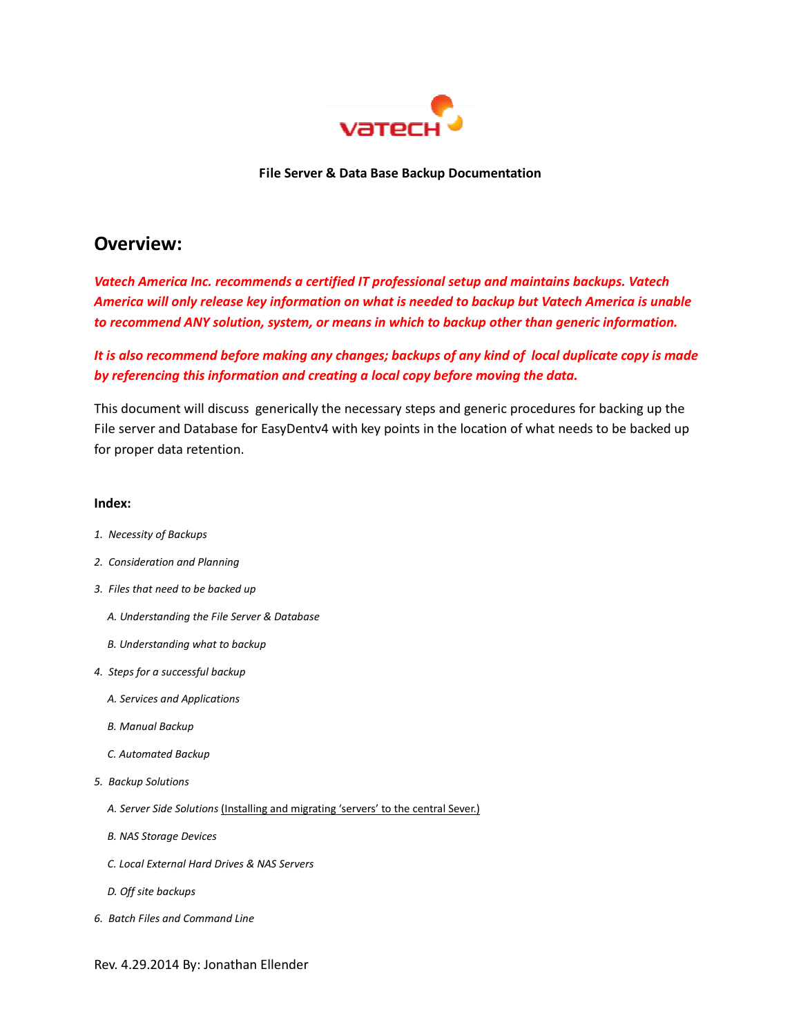

File Server & Data Base Backup Documentation

## Overview:

Vatech America Inc. recommends a certified IT professional setup and maintains backups. Vatech America will only release key information on what is needed to backup but Vatech America is unable to recommend ANY solution, system, or means in which to backup other than generic information.

It is also recommend before making any changes; backups of any kind of local duplicate copy is made by referencing this information and creating a local copy before moving the data.

This document will discuss generically the necessary steps and generic procedures for backing up the File server and Database for EasyDentv4 with key points in the location of what needs to be backed up for proper data retention.

#### Index:

- 1. Necessity of Backups
- 2. Consideration and Planning
- 3. Files that need to be backed up
	- A. Understanding the File Server & Database
	- B. Understanding what to backup
- 4. Steps for a successful backup
	- A. Services and Applications
	- B. Manual Backup
	- C. Automated Backup
- 5. Backup Solutions
	- A. Server Side Solutions (Installing and migrating 'servers' to the central Sever.)
	- B. NAS Storage Devices
	- C. Local External Hard Drives & NAS Servers
	- D. Off site backups
- 6. Batch Files and Command Line

Rev. 4.29.2014 By: Jonathan Ellender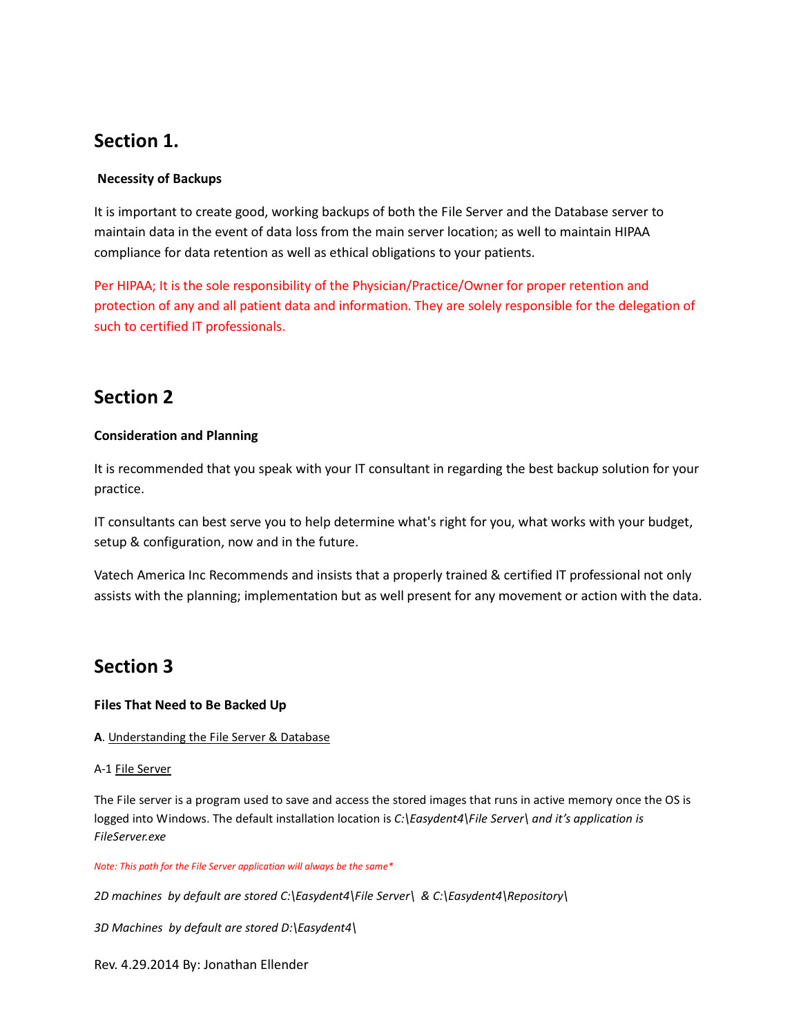## Section 1.

## Necessity of Backups

It is important to create good, working backups of both the File Server and the Database server to maintain data in the event of data loss from the main server location; as well to maintain HIPAA compliance for data retention as well as ethical obligations to your patients.

Per HIPAA; It is the sole responsibility of the Physician/Practice/Owner for proper retention and protection of any and all patient data and information. They are solely responsible for the delegation of such to certified IT professionals.

## Section 2

### Consideration and Planning

It is recommended that you speak with your IT consultant in regarding the best backup solution for your practice.

IT consultants can best serve you to help determine what's right for you, what works with your budget, setup & configuration, now and in the future.

Vatech America Inc Recommends and insists that a properly trained & certified IT professional not only assists with the planning; implementation but as well present for any movement or action with the data.

## Section 3

## Files That Need to Be Backed Up

#### A. Understanding the File Server & Database

#### A-1 File Server

The File server is a program used to save and access the stored images that runs in active memory once the OS is logged into Windows. The default installation location is C:\Easydent4\File Server\ and it's application is FileServer.exe

Note: This path for the File Server application will always be the same\*

2D machines by default are stored C:\Easydent4\File Server\ & C:\Easydent4\Repository\

3D Machines by default are stored D:\Easydent4\

Rev. 4.29.2014 By: Jonathan Ellender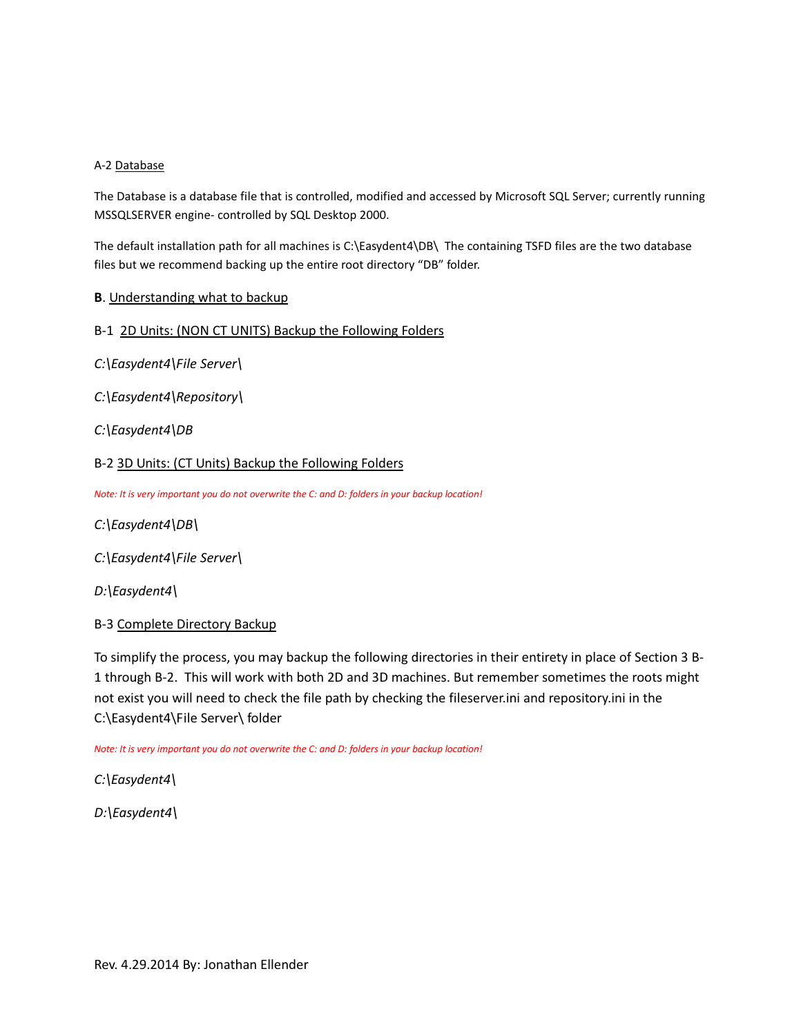### A-2 Database

The Database is a database file that is controlled, modified and accessed by Microsoft SQL Server; currently running MSSQLSERVER engine- controlled by SQL Desktop 2000.

The default installation path for all machines is C:\Easydent4\DB\ The containing TSFD files are the two database files but we recommend backing up the entire root directory "DB" folder.

### B. Understanding what to backup

### B-1 2D Units: (NON CT UNITS) Backup the Following Folders

C:\Easydent4\File Server\

C:\Easydent4\Repository\

C:\Easydent4\DB

### B-2 3D Units: (CT Units) Backup the Following Folders

Note: It is very important you do not overwrite the C: and D: folders in your backup location!

- C:\Easydent4\DB\
- C:\Easydent4\File Server\
- D:\Easydent4\

#### B-3 Complete Directory Backup

To simplify the process, you may backup the following directories in their entirety in place of Section 3 B-1 through B-2. This will work with both 2D and 3D machines. But remember sometimes the roots might not exist you will need to check the file path by checking the fileserver.ini and repository.ini in the C:\Easydent4\File Server\ folder

Note: It is very important you do not overwrite the C: and D: folders in your backup location!

C:\Easydent4\

D:\Easydent4\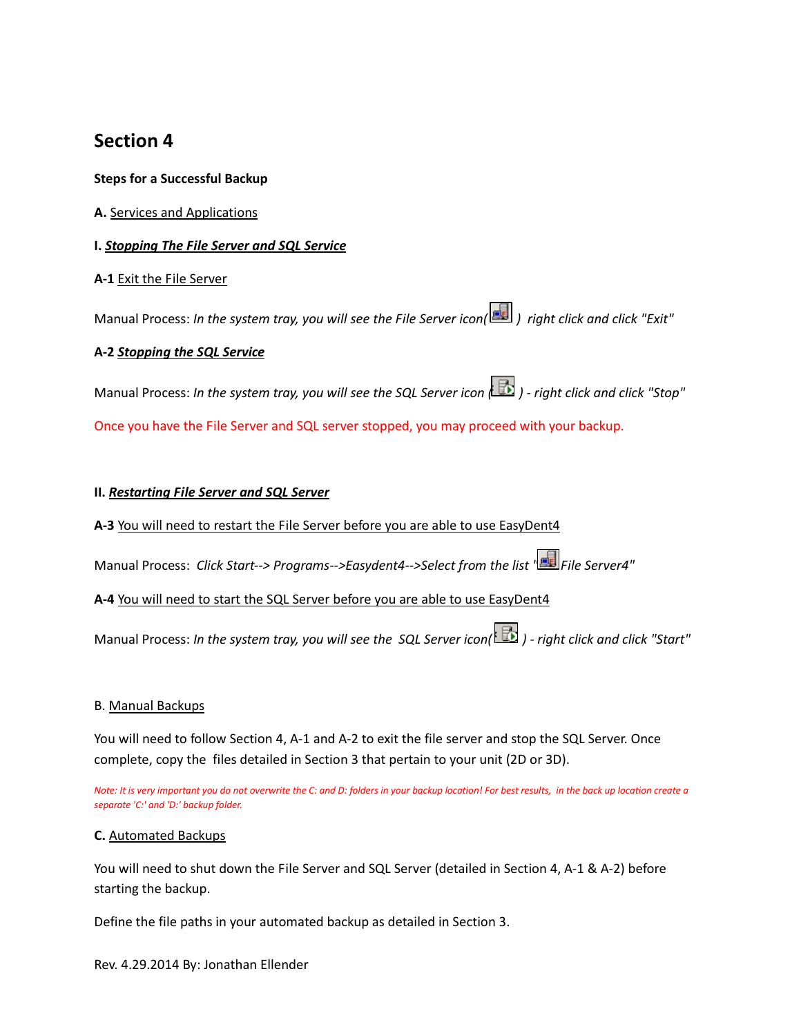## Section 4

## Steps for a Successful Backup

## A. Services and Applications

## I. Stopping The File Server and SQL Service

## A-1 Exit the File Server

Manual Process: In the system tray, you will see the File Server icon( ) right click and click "Exit"

## A-2 Stopping the SQL Service

Manual Process: In the system tray, you will see the SQL Server icon ( $\Box$ ) - right click and click "Stop" Once you have the File Server and SQL server stopped, you may proceed with your backup.

## II. Restarting File Server and SQL Server

A-3 You will need to restart the File Server before you are able to use EasyDent4

Manual Process: Click Start--> Programs-->Easydent4-->Select from the list " File Server4"

## A-4 You will need to start the SQL Server before you are able to use EasyDent4

Manual Process: In the system tray, you will see the SQL Server icon( $\mathbb{B}$ ) - right click and click "Start"

## B. Manual Backups

You will need to follow Section 4, A-1 and A-2 to exit the file server and stop the SQL Server. Once complete, copy the files detailed in Section 3 that pertain to your unit (2D or 3D).

Note: It is very important you do not overwrite the C: and D: folders in your backup location! For best results, in the back up location create a separate 'C:' and 'D:' backup folder.

## C. Automated Backups

You will need to shut down the File Server and SQL Server (detailed in Section 4, A-1 & A-2) before starting the backup.

Define the file paths in your automated backup as detailed in Section 3.

Rev. 4.29.2014 By: Jonathan Ellender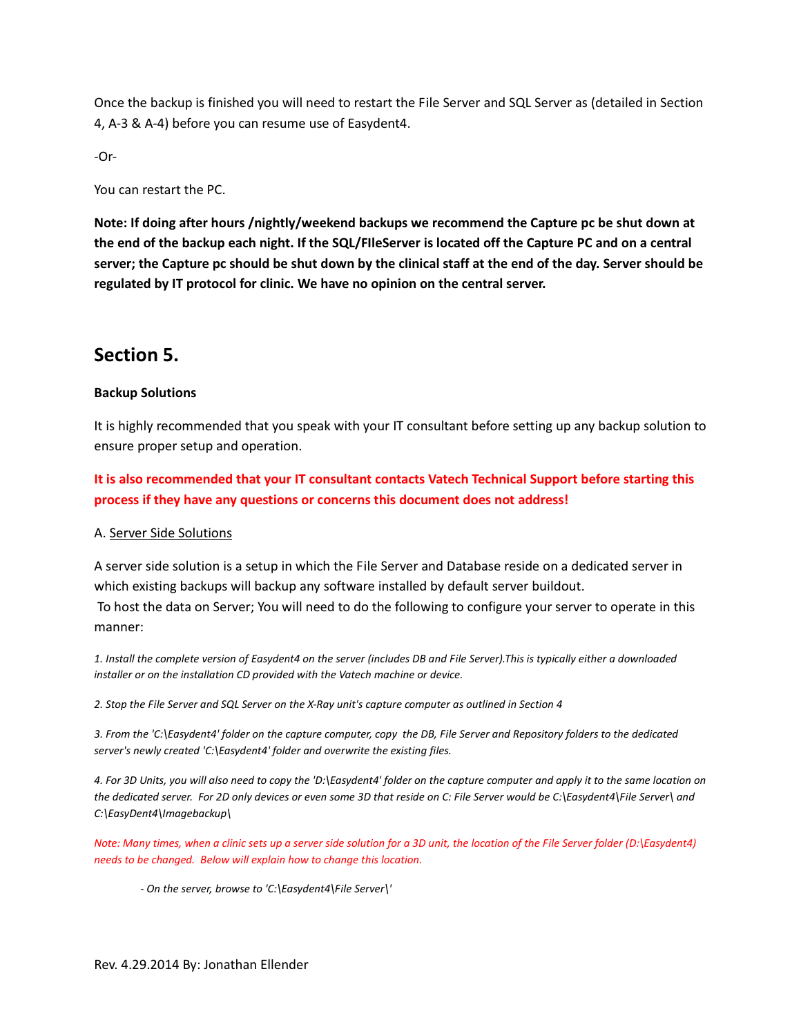Once the backup is finished you will need to restart the File Server and SQL Server as (detailed in Section 4, A-3 & A-4) before you can resume use of Easydent4.

-Or-

You can restart the PC.

Note: If doing after hours /nightly/weekend backups we recommend the Capture pc be shut down at the end of the backup each night. If the SQL/FIleServer is located off the Capture PC and on a central server; the Capture pc should be shut down by the clinical staff at the end of the day. Server should be regulated by IT protocol for clinic. We have no opinion on the central server.

## Section 5.

### Backup Solutions

It is highly recommended that you speak with your IT consultant before setting up any backup solution to ensure proper setup and operation.

It is also recommended that your IT consultant contacts Vatech Technical Support before starting this process if they have any questions or concerns this document does not address!

#### A. Server Side Solutions

A server side solution is a setup in which the File Server and Database reside on a dedicated server in which existing backups will backup any software installed by default server buildout.

 To host the data on Server; You will need to do the following to configure your server to operate in this manner:

1. Install the complete version of Easydent4 on the server (includes DB and File Server).This is typically either a downloaded installer or on the installation CD provided with the Vatech machine or device.

2. Stop the File Server and SQL Server on the X-Ray unit's capture computer as outlined in Section 4

3. From the 'C:\Easydent4' folder on the capture computer, copy the DB, File Server and Repository folders to the dedicated server's newly created 'C:\Easydent4' folder and overwrite the existing files.

4. For 3D Units, you will also need to copy the 'D:\Easydent4' folder on the capture computer and apply it to the same location on the dedicated server. For 2D only devices or even some 3D that reside on C: File Server would be C:\Easydent4\File Server\ and C:\EasyDent4\Imagebackup\

Note: Many times, when a clinic sets up a server side solution for a 3D unit, the location of the File Server folder (D:\Easydent4) needs to be changed. Below will explain how to change this location.

- On the server, browse to 'C:\Easydent4\File Server\'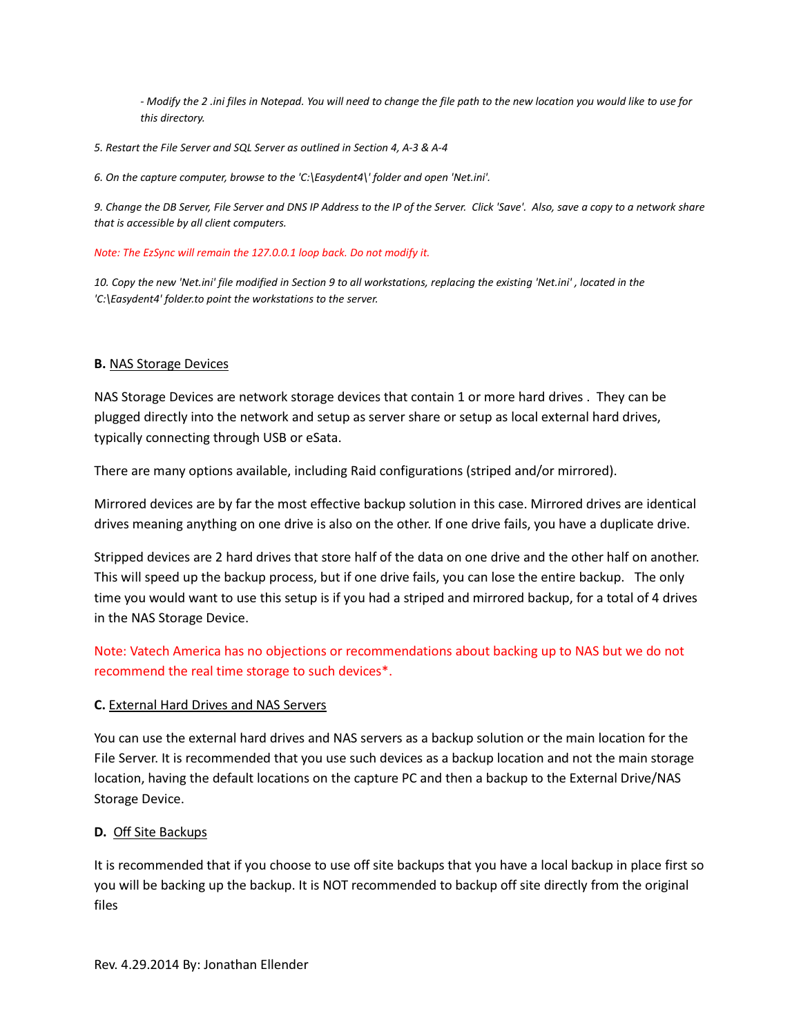- Modify the 2 .ini files in Notepad. You will need to change the file path to the new location you would like to use for this directory.

5. Restart the File Server and SQL Server as outlined in Section 4, A-3 & A-4

6. On the capture computer, browse to the 'C:\Easydent4\' folder and open 'Net.ini'.

9. Change the DB Server, File Server and DNS IP Address to the IP of the Server. Click 'Save'. Also, save a copy to a network share that is accessible by all client computers.

Note: The EzSync will remain the 127.0.0.1 loop back. Do not modify it.

10. Copy the new 'Net.ini' file modified in Section 9 to all workstations, replacing the existing 'Net.ini' , located in the 'C:\Easydent4' folder.to point the workstations to the server.

### B. NAS Storage Devices

NAS Storage Devices are network storage devices that contain 1 or more hard drives . They can be plugged directly into the network and setup as server share or setup as local external hard drives, typically connecting through USB or eSata.

There are many options available, including Raid configurations (striped and/or mirrored).

Mirrored devices are by far the most effective backup solution in this case. Mirrored drives are identical drives meaning anything on one drive is also on the other. If one drive fails, you have a duplicate drive.

Stripped devices are 2 hard drives that store half of the data on one drive and the other half on another. This will speed up the backup process, but if one drive fails, you can lose the entire backup. The only time you would want to use this setup is if you had a striped and mirrored backup, for a total of 4 drives in the NAS Storage Device.

Note: Vatech America has no objections or recommendations about backing up to NAS but we do not recommend the real time storage to such devices\*.

## C. External Hard Drives and NAS Servers

You can use the external hard drives and NAS servers as a backup solution or the main location for the File Server. It is recommended that you use such devices as a backup location and not the main storage location, having the default locations on the capture PC and then a backup to the External Drive/NAS Storage Device.

## D. Off Site Backups

It is recommended that if you choose to use off site backups that you have a local backup in place first so you will be backing up the backup. It is NOT recommended to backup off site directly from the original files